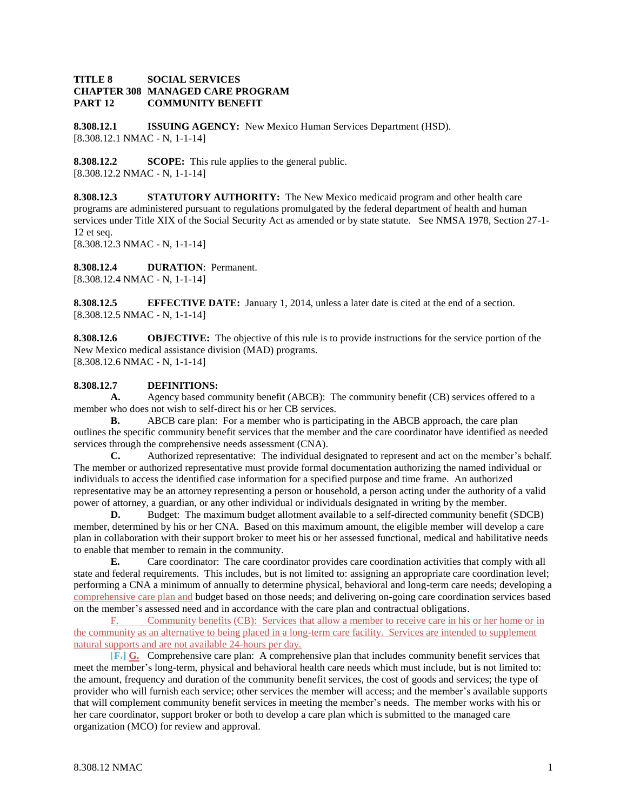## **TITLE 8 SOCIAL SERVICES CHAPTER 308 MANAGED CARE PROGRAM PART 12 COMMUNITY BENEFIT**

**8.308.12.1 ISSUING AGENCY:** New Mexico Human Services Department (HSD). [8.308.12.1 NMAC - N, 1-1-14]

**8.308.12.2 SCOPE:** This rule applies to the general public. [8.308.12.2 NMAC - N, 1-1-14]

**8.308.12.3 STATUTORY AUTHORITY:** The New Mexico medicaid program and other health care programs are administered pursuant to regulations promulgated by the federal department of health and human services under Title XIX of the Social Security Act as amended or by state statute. See NMSA 1978, Section 27-1- 12 et seq. [8.308.12.3 NMAC - N, 1-1-14]

**8.308.12.4 DURATION**: Permanent. [8.308.12.4 NMAC - N, 1-1-14]

**8.308.12.5 EFFECTIVE DATE:** January 1, 2014, unless a later date is cited at the end of a section. [8.308.12.5 NMAC - N, 1-1-14]

**8.308.12.6 OBJECTIVE:** The objective of this rule is to provide instructions for the service portion of the New Mexico medical assistance division (MAD) programs. [8.308.12.6 NMAC - N, 1-1-14]

# **8.308.12.7 DEFINITIONS:**

**A.** Agency based community benefit (ABCB): The community benefit (CB) services offered to a member who does not wish to self-direct his or her CB services.

**B.** ABCB care plan: For a member who is participating in the ABCB approach, the care plan outlines the specific community benefit services that the member and the care coordinator have identified as needed services through the comprehensive needs assessment (CNA).

**C.** Authorized representative: The individual designated to represent and act on the member's behalf. The member or authorized representative must provide formal documentation authorizing the named individual or individuals to access the identified case information for a specified purpose and time frame. An authorized representative may be an attorney representing a person or household, a person acting under the authority of a valid power of attorney, a guardian, or any other individual or individuals designated in writing by the member.

**D.** Budget: The maximum budget allotment available to a self-directed community benefit (SDCB) member, determined by his or her CNA. Based on this maximum amount, the eligible member will develop a care plan in collaboration with their support broker to meet his or her assessed functional, medical and habilitative needs to enable that member to remain in the community.

**E.** Care coordinator: The care coordinator provides care coordination activities that comply with all state and federal requirements. This includes, but is not limited to: assigning an appropriate care coordination level; performing a CNA a minimum of annually to determine physical, behavioral and long-term care needs; developing a comprehensive care plan and budget based on those needs; and delivering on-going care coordination services based on the member's assessed need and in accordance with the care plan and contractual obligations.

F. Community benefits (CB): Services that allow a member to receive care in his or her home or in the community as an alternative to being placed in a long-term care facility. Services are intended to supplement natural supports and are not available 24-hours per day.

[**F.] G.** Comprehensive care plan: A comprehensive plan that includes community benefit services that meet the member's long-term, physical and behavioral health care needs which must include, but is not limited to: the amount, frequency and duration of the community benefit services, the cost of goods and services; the type of provider who will furnish each service; other services the member will access; and the member's available supports that will complement community benefit services in meeting the member's needs. The member works with his or her care coordinator, support broker or both to develop a care plan which is submitted to the managed care organization (MCO) for review and approval.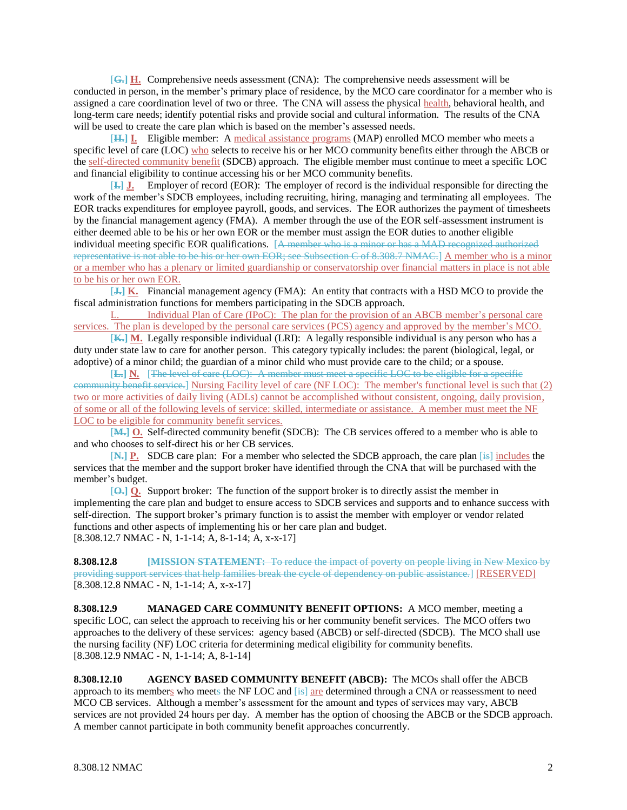[**G.] H.** Comprehensive needs assessment (CNA): The comprehensive needs assessment will be conducted in person, in the member's primary place of residence, by the MCO care coordinator for a member who is assigned a care coordination level of two or three. The CNA will assess the physical health, behavioral health, and long-term care needs; identify potential risks and provide social and cultural information. The results of the CNA will be used to create the care plan which is based on the member's assessed needs.

[**H.] I.** Eligible member: A medical assistance programs (MAP) enrolled MCO member who meets a specific level of care (LOC) who selects to receive his or her MCO community benefits either through the ABCB or the self-directed community benefit (SDCB) approach. The eligible member must continue to meet a specific LOC and financial eligibility to continue accessing his or her MCO community benefits.

[**I.] J.** Employer of record (EOR): The employer of record is the individual responsible for directing the work of the member's SDCB employees, including recruiting, hiring, managing and terminating all employees. The EOR tracks expenditures for employee payroll, goods, and services. The EOR authorizes the payment of timesheets by the financial management agency (FMA). A member through the use of the EOR self-assessment instrument is either deemed able to be his or her own EOR or the member must assign the EOR duties to another eligible individual meeting specific EOR qualifications. [A member who is a minor or has a MAD recognized authorized representative is not able to be his or her own EOR; see Subsection C of 8.308.7 NMAC.] A member who is a minor or a member who has a plenary or limited guardianship or conservatorship over financial matters in place is not able to be his or her own EOR.

[**J.] K.** Financial management agency (FMA): An entity that contracts with a HSD MCO to provide the fiscal administration functions for members participating in the SDCB approach.

L. Individual Plan of Care (IPoC): The plan for the provision of an ABCB member's personal care services. The plan is developed by the personal care services (PCS) agency and approved by the member's MCO.

[**K.] M.** Legally responsible individual (LRI): A legally responsible individual is any person who has a duty under state law to care for another person. This category typically includes: the parent (biological, legal, or adoptive) of a minor child; the guardian of a minor child who must provide care to the child; or a spouse.

[**L.] N.** [The level of care (LOC): A member must meet a specific LOC to be eligible for a specific community benefit service.] Nursing Facility level of care (NF LOC): The member's functional level is such that (2) two or more activities of daily living (ADLs) cannot be accomplished without consistent, ongoing, daily provision, of some or all of the following levels of service: skilled, intermediate or assistance. A member must meet the NF LOC to be eligible for community benefit services.

[**M.] O.** Self-directed community benefit (SDCB): The CB services offered to a member who is able to and who chooses to self-direct his or her CB services.

[**N.] P.** SDCB care plan: For a member who selected the SDCB approach, the care plan [is] includes the services that the member and the support broker have identified through the CNA that will be purchased with the member's budget.

[**O.] Q.** Support broker: The function of the support broker is to directly assist the member in implementing the care plan and budget to ensure access to SDCB services and supports and to enhance success with self-direction. The support broker's primary function is to assist the member with employer or vendor related functions and other aspects of implementing his or her care plan and budget. [8.308.12.7 NMAC - N, 1-1-14; A, 8-1-14; A, x-x-17]

**8.308.12.8 [MISSION STATEMENT:** To reduce the impact of poverty on people living in New Mexico by providing support services that help families break the cycle of dependency on public assistance.] [RESERVED]  $[8.308.12.8 \text{ NMAC - N}, 1-1-14; \text{A}, \text{x-x-17}]$ 

**8.308.12.9 MANAGED CARE COMMUNITY BENEFIT OPTIONS:** A MCO member, meeting a specific LOC, can select the approach to receiving his or her community benefit services. The MCO offers two approaches to the delivery of these services: agency based (ABCB) or self-directed (SDCB). The MCO shall use the nursing facility (NF) LOC criteria for determining medical eligibility for community benefits. [8.308.12.9 NMAC - N, 1-1-14; A, 8-1-14]

**8.308.12.10 AGENCY BASED COMMUNITY BENEFIT (ABCB):** The MCOs shall offer the ABCB approach to its members who meets the NF LOC and [is] are determined through a CNA or reassessment to need MCO CB services. Although a member's assessment for the amount and types of services may vary, ABCB services are not provided 24 hours per day. A member has the option of choosing the ABCB or the SDCB approach. A member cannot participate in both community benefit approaches concurrently.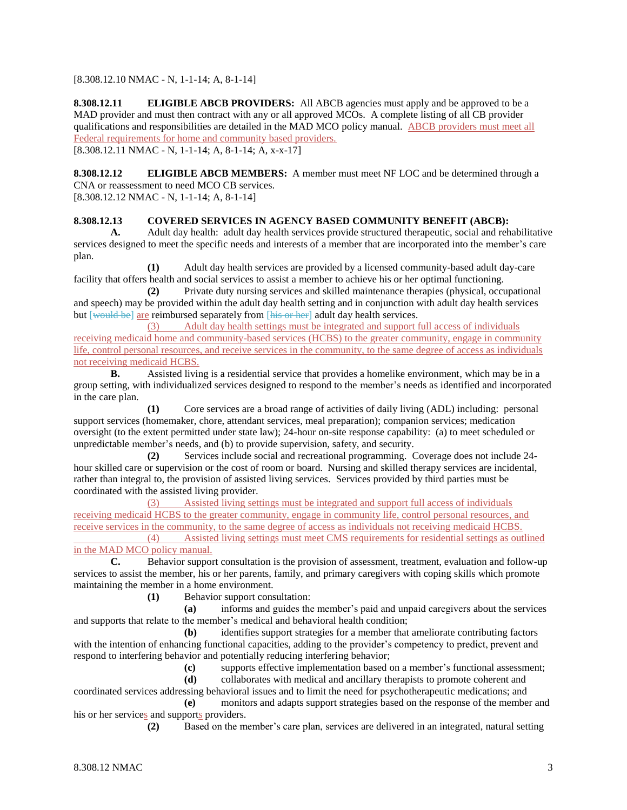[8.308.12.10 NMAC - N, 1-1-14; A, 8-1-14]

**8.308.12.11 ELIGIBLE ABCB PROVIDERS:** All ABCB agencies must apply and be approved to be a MAD provider and must then contract with any or all approved MCOs. A complete listing of all CB provider qualifications and responsibilities are detailed in the MAD MCO policy manual. ABCB providers must meet all Federal requirements for home and community based providers.

[8.308.12.11 NMAC - N, 1-1-14; A, 8-1-14; A, x-x-17]

**8.308.12.12 ELIGIBLE ABCB MEMBERS:** A member must meet NF LOC and be determined through a CNA or reassessment to need MCO CB services. [8.308.12.12 NMAC - N, 1-1-14; A, 8-1-14]

## **8.308.12.13 COVERED SERVICES IN AGENCY BASED COMMUNITY BENEFIT (ABCB):**

**A.** Adult day health: adult day health services provide structured therapeutic, social and rehabilitative services designed to meet the specific needs and interests of a member that are incorporated into the member's care plan.

**(1)** Adult day health services are provided by a licensed community-based adult day-care facility that offers health and social services to assist a member to achieve his or her optimal functioning.

**(2)** Private duty nursing services and skilled maintenance therapies (physical, occupational and speech) may be provided within the adult day health setting and in conjunction with adult day health services but [would be] are reimbursed separately from [his or her] adult day health services.

(3) Adult day health settings must be integrated and support full access of individuals receiving medicaid home and community-based services (HCBS) to the greater community, engage in community life, control personal resources, and receive services in the community, to the same degree of access as individuals not receiving medicaid HCBS.

**B.** Assisted living is a residential service that provides a homelike environment, which may be in a group setting, with individualized services designed to respond to the member's needs as identified and incorporated in the care plan.

**(1)** Core services are a broad range of activities of daily living (ADL) including: personal support services (homemaker, chore, attendant services, meal preparation); companion services; medication oversight (to the extent permitted under state law); 24-hour on-site response capability: (a) to meet scheduled or unpredictable member's needs, and (b) to provide supervision, safety, and security.

**(2)** Services include social and recreational programming. Coverage does not include 24 hour skilled care or supervision or the cost of room or board. Nursing and skilled therapy services are incidental, rather than integral to, the provision of assisted living services. Services provided by third parties must be coordinated with the assisted living provider.

(3) Assisted living settings must be integrated and support full access of individuals receiving medicaid HCBS to the greater community, engage in community life, control personal resources, and receive services in the community, to the same degree of access as individuals not receiving medicaid HCBS. (4) Assisted living settings must meet CMS requirements for residential settings as outlined

## in the MAD MCO policy manual.

**C.** Behavior support consultation is the provision of assessment, treatment, evaluation and follow-up services to assist the member, his or her parents, family, and primary caregivers with coping skills which promote maintaining the member in a home environment.

**(1)** Behavior support consultation:

**(a)** informs and guides the member's paid and unpaid caregivers about the services and supports that relate to the member's medical and behavioral health condition;

**(b)** identifies support strategies for a member that ameliorate contributing factors with the intention of enhancing functional capacities, adding to the provider's competency to predict, prevent and respond to interfering behavior and potentially reducing interfering behavior;

**(c)** supports effective implementation based on a member's functional assessment;

**(d)** collaborates with medical and ancillary therapists to promote coherent and

coordinated services addressing behavioral issues and to limit the need for psychotherapeutic medications; and **(e)** monitors and adapts support strategies based on the response of the member and his or her services and supports providers.

**(2)** Based on the member's care plan, services are delivered in an integrated, natural setting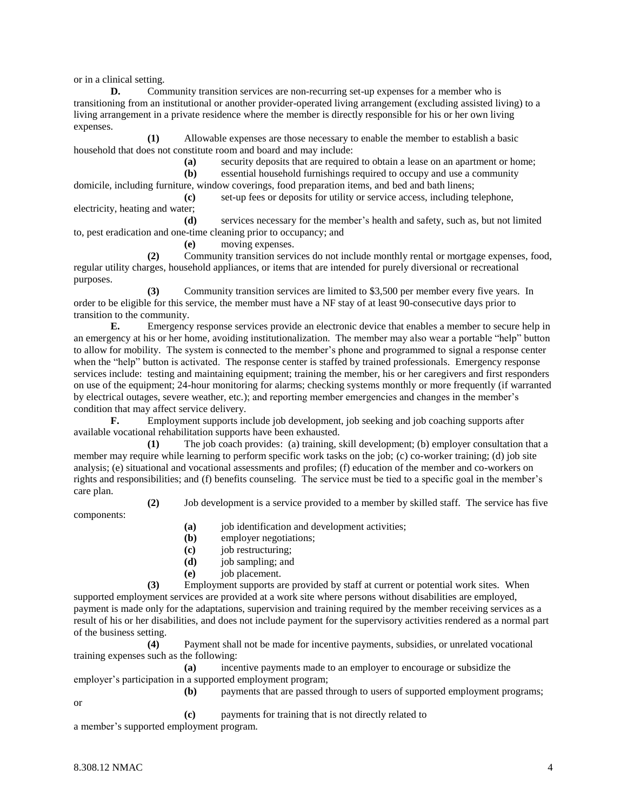or in a clinical setting.

**D.** Community transition services are non-recurring set-up expenses for a member who is transitioning from an institutional or another provider-operated living arrangement (excluding assisted living) to a living arrangement in a private residence where the member is directly responsible for his or her own living expenses.

**(1)** Allowable expenses are those necessary to enable the member to establish a basic household that does not constitute room and board and may include:

**(a)** security deposits that are required to obtain a lease on an apartment or home;

**(b)** essential household furnishings required to occupy and use a community domicile, including furniture, window coverings, food preparation items, and bed and bath linens;

**(c)** set-up fees or deposits for utility or service access, including telephone, electricity, heating and water;

**(d)** services necessary for the member's health and safety, such as, but not limited to, pest eradication and one-time cleaning prior to occupancy; and

**(e)** moving expenses.

**(2)** Community transition services do not include monthly rental or mortgage expenses, food, regular utility charges, household appliances, or items that are intended for purely diversional or recreational purposes.

**(3)** Community transition services are limited to \$3,500 per member every five years. In order to be eligible for this service, the member must have a NF stay of at least 90-consecutive days prior to transition to the community.

**E.** Emergency response services provide an electronic device that enables a member to secure help in an emergency at his or her home, avoiding institutionalization. The member may also wear a portable "help" button to allow for mobility. The system is connected to the member's phone and programmed to signal a response center when the "help" button is activated. The response center is staffed by trained professionals. Emergency response services include: testing and maintaining equipment; training the member, his or her caregivers and first responders on use of the equipment; 24-hour monitoring for alarms; checking systems monthly or more frequently (if warranted by electrical outages, severe weather, etc.); and reporting member emergencies and changes in the member's condition that may affect service delivery.

**F.** Employment supports include job development, job seeking and job coaching supports after available vocational rehabilitation supports have been exhausted.

**(1)** The job coach provides: (a) training, skill development; (b) employer consultation that a member may require while learning to perform specific work tasks on the job; (c) co-worker training; (d) job site analysis; (e) situational and vocational assessments and profiles; (f) education of the member and co-workers on rights and responsibilities; and (f) benefits counseling. The service must be tied to a specific goal in the member's care plan.

**(2)** Job development is a service provided to a member by skilled staff. The service has five

components:

**(a)** job identification and development activities;

- **(b)** employer negotiations;
- **(c)** job restructuring;
- **(d)** job sampling; and
- **(e)** job placement.

**(3)** Employment supports are provided by staff at current or potential work sites. When supported employment services are provided at a work site where persons without disabilities are employed, payment is made only for the adaptations, supervision and training required by the member receiving services as a result of his or her disabilities, and does not include payment for the supervisory activities rendered as a normal part of the business setting.

**(4)** Payment shall not be made for incentive payments, subsidies, or unrelated vocational training expenses such as the following:

**(a)** incentive payments made to an employer to encourage or subsidize the employer's participation in a supported employment program;

**(b)** payments that are passed through to users of supported employment programs; or

**(c)** payments for training that is not directly related to a member's supported employment program.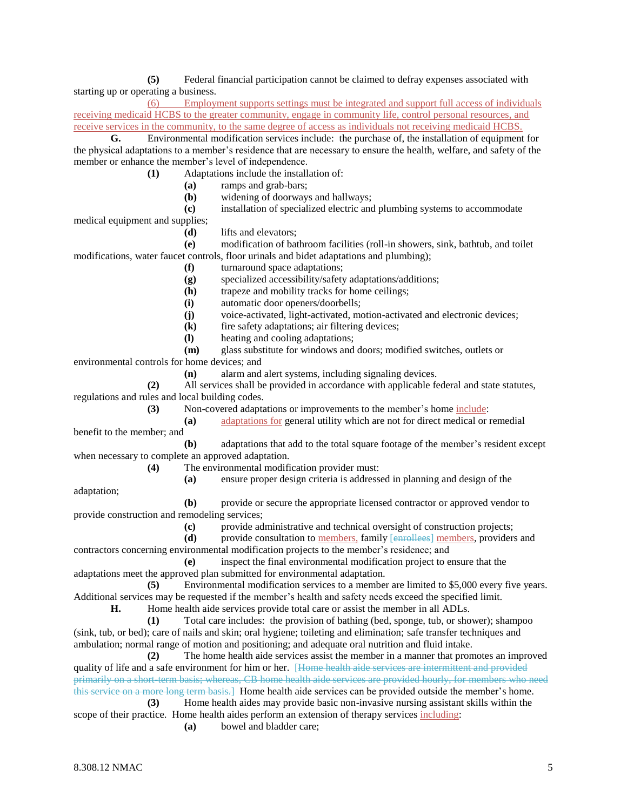**(5)** Federal financial participation cannot be claimed to defray expenses associated with starting up or operating a business.

(6) Employment supports settings must be integrated and support full access of individuals receiving medicaid HCBS to the greater community, engage in community life, control personal resources, and receive services in the community, to the same degree of access as individuals not receiving medicaid HCBS.

**G.** Environmental modification services include: the purchase of, the installation of equipment for the physical adaptations to a member's residence that are necessary to ensure the health, welfare, and safety of the member or enhance the member's level of independence.

**(1)** Adaptations include the installation of:

- **(a)** ramps and grab-bars;
- **(b)** widening of doorways and hallways;
- **(c)** installation of specialized electric and plumbing systems to accommodate

medical equipment and supplies;

**(d)** lifts and elevators;

**(e)** modification of bathroom facilities (roll-in showers, sink, bathtub, and toilet modifications, water faucet controls, floor urinals and bidet adaptations and plumbing);

- **(f)** turnaround space adaptations;
- **(g)** specialized accessibility/safety adaptations/additions;
- **(h)** trapeze and mobility tracks for home ceilings;
- **(i)** automatic door openers/doorbells;
- **(j)** voice-activated, light-activated, motion-activated and electronic devices;
- **(k)** fire safety adaptations; air filtering devices;
- **(l)** heating and cooling adaptations;
- **(m)** glass substitute for windows and doors; modified switches, outlets or

environmental controls for home devices; and

**(n)** alarm and alert systems, including signaling devices.

**(2)** All services shall be provided in accordance with applicable federal and state statutes, regulations and rules and local building codes.

**(3)** Non-covered adaptations or improvements to the member's home include:

**(a)** adaptations for general utility which are not for direct medical or remedial benefit to the member; and

**(b)** adaptations that add to the total square footage of the member's resident except when necessary to complete an approved adaptation.

**(4)** The environmental modification provider must:

**(a)** ensure proper design criteria is addressed in planning and design of the

adaptation;

**(b)** provide or secure the appropriate licensed contractor or approved vendor to provide construction and remodeling services;

**(c)** provide administrative and technical oversight of construction projects;

**(d)** provide consultation to members, family [enrollees] members, providers and contractors concerning environmental modification projects to the member's residence; and

**(e)** inspect the final environmental modification project to ensure that the adaptations meet the approved plan submitted for environmental adaptation.

**(5)** Environmental modification services to a member are limited to \$5,000 every five years. Additional services may be requested if the member's health and safety needs exceed the specified limit.

**H.** Home health aide services provide total care or assist the member in all ADLs.

**(1)** Total care includes: the provision of bathing (bed, sponge, tub, or shower); shampoo (sink, tub, or bed); care of nails and skin; oral hygiene; toileting and elimination; safe transfer techniques and ambulation; normal range of motion and positioning; and adequate oral nutrition and fluid intake.

**(2)** The home health aide services assist the member in a manner that promotes an improved quality of life and a safe environment for him or her. [Home health aide services are intermittent and provided primarily on a short-term basis; whereas, CB home health aide services are provided hourly, for members who need this service on a more long term basis.] Home health aide services can be provided outside the member's home.

**(3)** Home health aides may provide basic non-invasive nursing assistant skills within the scope of their practice. Home health aides perform an extension of therapy services including:

**(a)** bowel and bladder care;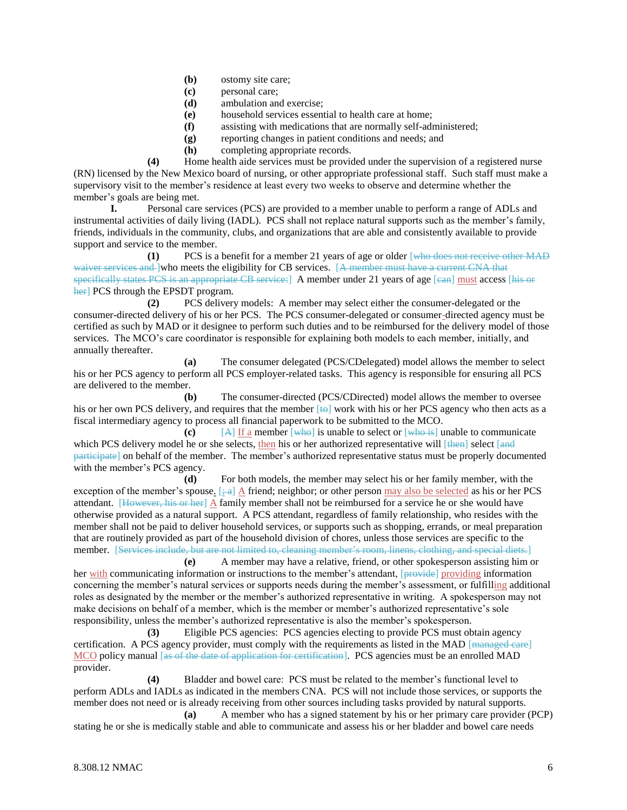- **(b)** ostomy site care;
- **(c)** personal care;
- **(d)** ambulation and exercise;
- **(e)** household services essential to health care at home;
- **(f)** assisting with medications that are normally self-administered;
- **(g)** reporting changes in patient conditions and needs; and
- **(h)** completing appropriate records.

**(4)** Home health aide services must be provided under the supervision of a registered nurse (RN) licensed by the New Mexico board of nursing, or other appropriate professional staff. Such staff must make a supervisory visit to the member's residence at least every two weeks to observe and determine whether the member's goals are being met.

**I.** Personal care services (PCS) are provided to a member unable to perform a range of ADLs and instrumental activities of daily living (IADL). PCS shall not replace natural supports such as the member's family, friends, individuals in the community, clubs, and organizations that are able and consistently available to provide support and service to the member.

**(1)** PCS is a benefit for a member 21 years of age or older [who does not receive other MAD waiver services and ]who meets the eligibility for CB services. [A member must have a current CNA that specifically states PCS is an appropriate CB service: A member under 21 years of age [can] must access [his or her] PCS through the EPSDT program.

**(2)** PCS delivery models: A member may select either the consumer-delegated or the consumer-directed delivery of his or her PCS. The PCS consumer-delegated or consumer-directed agency must be certified as such by MAD or it designee to perform such duties and to be reimbursed for the delivery model of those services. The MCO's care coordinator is responsible for explaining both models to each member, initially, and annually thereafter.

**(a)** The consumer delegated (PCS/CDelegated) model allows the member to select his or her PCS agency to perform all PCS employer-related tasks. This agency is responsible for ensuring all PCS are delivered to the member.

**(b)** The consumer-directed (PCS/CDirected) model allows the member to oversee his or her own PCS delivery, and requires that the member  $[4\Theta]$  work with his or her PCS agency who then acts as a fiscal intermediary agency to process all financial paperwork to be submitted to the MCO.

**(c)** [A] If a member [who] is unable to select or [who is] unable to communicate which PCS delivery model he or she selects, then his or her authorized representative will  $[\frac{t}{t} + \frac{t}{t}]$  select  $[\frac{t}{t}]$ participate] on behalf of the member. The member's authorized representative status must be properly documented with the member's PCS agency.

**(d)** For both models, the member may select his or her family member, with the exception of the member's spouse.  $\left[\div a\right]$  A friend; neighbor; or other person may also be selected as his or her PCS attendant. [However, his or her] A family member shall not be reimbursed for a service he or she would have otherwise provided as a natural support. A PCS attendant, regardless of family relationship, who resides with the member shall not be paid to deliver household services, or supports such as shopping, errands, or meal preparation that are routinely provided as part of the household division of chores, unless those services are specific to the member. [Services include, but are not limited to, cleaning member's room, linens, clothing, and special diets.]

**(e)** A member may have a relative, friend, or other spokesperson assisting him or her with communicating information or instructions to the member's attendant, [provide] providing information concerning the member's natural services or supports needs during the member's assessment, or fulfilling additional roles as designated by the member or the member's authorized representative in writing. A spokesperson may not make decisions on behalf of a member, which is the member or member's authorized representative's sole responsibility, unless the member's authorized representative is also the member's spokesperson.

**(3)** Eligible PCS agencies: PCS agencies electing to provide PCS must obtain agency certification. A PCS agency provider, must comply with the requirements as listed in the MAD [managed care] MCO policy manual [as of the date of application for certification]. PCS agencies must be an enrolled MAD provider.

**(4)** Bladder and bowel care: PCS must be related to the member's functional level to perform ADLs and IADLs as indicated in the members CNA. PCS will not include those services, or supports the member does not need or is already receiving from other sources including tasks provided by natural supports. **(a)** A member who has a signed statement by his or her primary care provider (PCP)

stating he or she is medically stable and able to communicate and assess his or her bladder and bowel care needs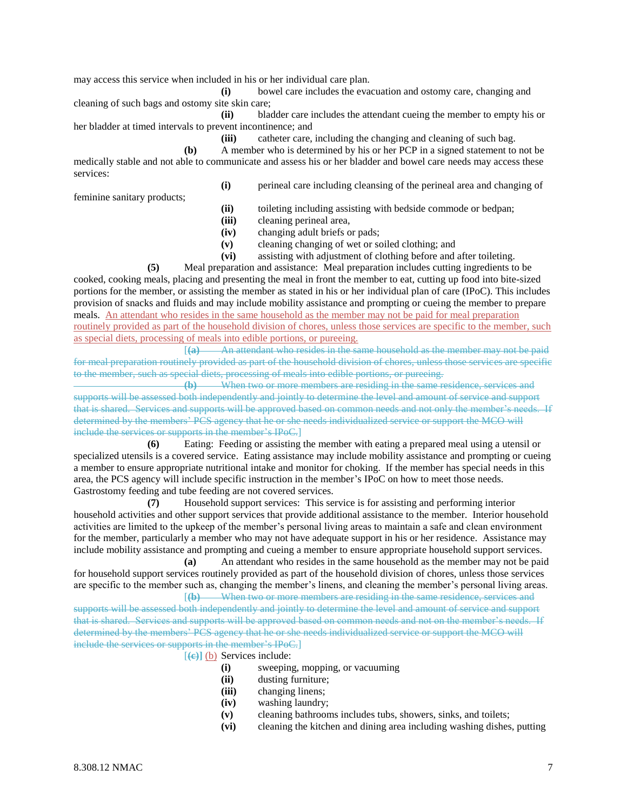may access this service when included in his or her individual care plan.

**(i)** bowel care includes the evacuation and ostomy care, changing and cleaning of such bags and ostomy site skin care;

**(ii)** bladder care includes the attendant cueing the member to empty his or her bladder at timed intervals to prevent incontinence; and

**(iii)** catheter care, including the changing and cleaning of such bag.

**(b)** A member who is determined by his or her PCP in a signed statement to not be medically stable and not able to communicate and assess his or her bladder and bowel care needs may access these services:

feminine sanitary products;

**(i)** perineal care including cleansing of the perineal area and changing of

**(ii)** toileting including assisting with bedside commode or bedpan;

- **(iii)** cleaning perineal area,
- **(iv)** changing adult briefs or pads;
- **(v)** cleaning changing of wet or soiled clothing; and
- **(vi)** assisting with adjustment of clothing before and after toileting.

**(5)** Meal preparation and assistance: Meal preparation includes cutting ingredients to be cooked, cooking meals, placing and presenting the meal in front the member to eat, cutting up food into bite-sized portions for the member, or assisting the member as stated in his or her individual plan of care (IPoC). This includes provision of snacks and fluids and may include mobility assistance and prompting or cueing the member to prepare meals. An attendant who resides in the same household as the member may not be paid for meal preparation routinely provided as part of the household division of chores, unless those services are specific to the member, such as special diets, processing of meals into edible portions, or pureeing.

[**(a)** An attendant who resides in the same household as the member may not be paid for meal preparation routinely provided as part of the household division of chores, unless those services are specific to the member, such as special diets, processing of meals into edible portions, or pureeing.

**(b)** When two or more members are residing in the same residence, services and supports will be assessed both independently and jointly to determine the level and amount of service and support that is shared. Services and supports will be approved based on common needs and not only the member's needs. If determined by the members' PCS agency that he or she needs individualized service or support the MCO will include the services or supports in the member's IPoC.]

**(6)** Eating: Feeding or assisting the member with eating a prepared meal using a utensil or specialized utensils is a covered service. Eating assistance may include mobility assistance and prompting or cueing a member to ensure appropriate nutritional intake and monitor for choking. If the member has special needs in this area, the PCS agency will include specific instruction in the member's IPoC on how to meet those needs. Gastrostomy feeding and tube feeding are not covered services.

**(7)** Household support services: This service is for assisting and performing interior household activities and other support services that provide additional assistance to the member. Interior household activities are limited to the upkeep of the member's personal living areas to maintain a safe and clean environment for the member, particularly a member who may not have adequate support in his or her residence. Assistance may include mobility assistance and prompting and cueing a member to ensure appropriate household support services.

**(a)** An attendant who resides in the same household as the member may not be paid for household support services routinely provided as part of the household division of chores, unless those services are specific to the member such as, changing the member's linens, and cleaning the member's personal living areas.

[**(b)** When two or more members are residing in the same residence, services and supports will be assessed both independently and jointly to determine the level and amount of service and support that is shared. Services and supports will be approved based on common needs and not on the member's needs. If determined by the members' PCS agency that he or she needs individualized service or support the MCO will include the services or supports in the member's IPoC.]

[**(c)]** (b) Services include:

- **(i)** sweeping, mopping, or vacuuming
- **(ii)** dusting furniture;
- **(iii)** changing linens;
- **(iv)** washing laundry;
- **(v)** cleaning bathrooms includes tubs, showers, sinks, and toilets;
- **(vi)** cleaning the kitchen and dining area including washing dishes, putting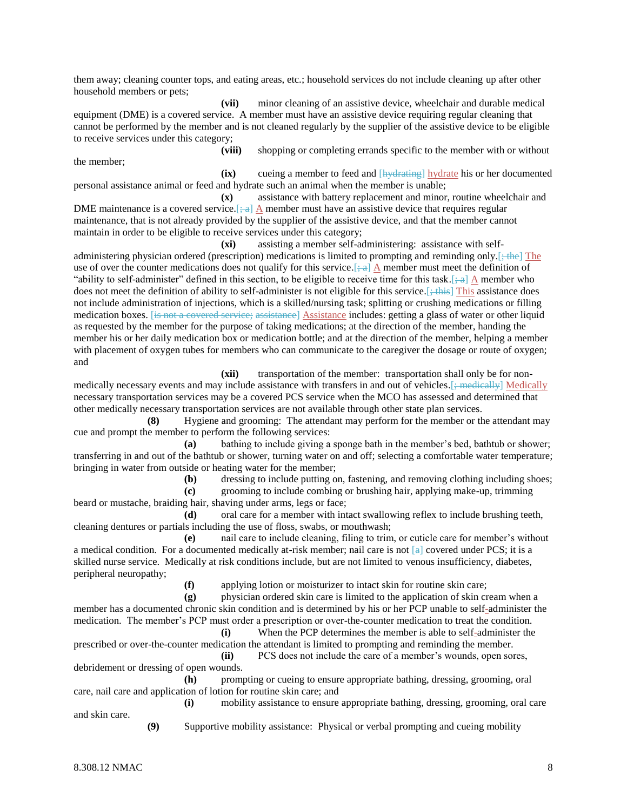them away; cleaning counter tops, and eating areas, etc.; household services do not include cleaning up after other household members or pets;

**(vii)** minor cleaning of an assistive device, wheelchair and durable medical equipment (DME) is a covered service. A member must have an assistive device requiring regular cleaning that cannot be performed by the member and is not cleaned regularly by the supplier of the assistive device to be eligible to receive services under this category;

the member;

**(viii)** shopping or completing errands specific to the member with or without

**(ix)** cueing a member to feed and [hydrating] hydrate his or her documented personal assistance animal or feed and hydrate such an animal when the member is unable;

**(x)** assistance with battery replacement and minor, routine wheelchair and DME maintenance is a covered service.  $\left[\frac{1}{1}a\right]$  A member must have an assistive device that requires regular maintenance, that is not already provided by the supplier of the assistive device, and that the member cannot maintain in order to be eligible to receive services under this category;

**(xi)** assisting a member self-administering: assistance with self-

administering physician ordered (prescription) medications is limited to prompting and reminding only.  $[+the]$  The use of over the counter medications does not qualify for this service.  $\left[-a\right]$  A member must meet the definition of "ability to self-administer" defined in this section, to be eligible to receive time for this task.[ $\div$ a] A member who does not meet the definition of ability to self-administer is not eligible for this service. [ $\div$ this] This assistance does not include administration of injections, which is a skilled/nursing task; splitting or crushing medications or filling medication boxes. [is not a covered service; assistance] Assistance includes: getting a glass of water or other liquid as requested by the member for the purpose of taking medications; at the direction of the member, handing the member his or her daily medication box or medication bottle; and at the direction of the member, helping a member with placement of oxygen tubes for members who can communicate to the caregiver the dosage or route of oxygen; and

**(xii)** transportation of the member: transportation shall only be for nonmedically necessary events and may include assistance with transfers in and out of vehicles.[; medically] Medically necessary transportation services may be a covered PCS service when the MCO has assessed and determined that other medically necessary transportation services are not available through other state plan services.

**(8)** Hygiene and grooming: The attendant may perform for the member or the attendant may cue and prompt the member to perform the following services:

**(a)** bathing to include giving a sponge bath in the member's bed, bathtub or shower; transferring in and out of the bathtub or shower, turning water on and off; selecting a comfortable water temperature; bringing in water from outside or heating water for the member;

**(b)** dressing to include putting on, fastening, and removing clothing including shoes;

**(c)** grooming to include combing or brushing hair, applying make-up, trimming beard or mustache, braiding hair, shaving under arms, legs or face;

**(d)** oral care for a member with intact swallowing reflex to include brushing teeth, cleaning dentures or partials including the use of floss, swabs, or mouthwash;

**(e)** nail care to include cleaning, filing to trim, or cuticle care for member's without a medical condition. For a documented medically at-risk member; nail care is not  $[a]$  covered under PCS; it is a skilled nurse service. Medically at risk conditions include, but are not limited to venous insufficiency, diabetes, peripheral neuropathy;

**(f)** applying lotion or moisturizer to intact skin for routine skin care;

**(g)** physician ordered skin care is limited to the application of skin cream when a member has a documented chronic skin condition and is determined by his or her PCP unable to self-administer the medication. The member's PCP must order a prescription or over-the-counter medication to treat the condition.

**(i)** When the PCP determines the member is able to self-administer the prescribed or over-the-counter medication the attendant is limited to prompting and reminding the member.

**(ii)** PCS does not include the care of a member's wounds, open sores, debridement or dressing of open wounds.

**(h)** prompting or cueing to ensure appropriate bathing, dressing, grooming, oral care, nail care and application of lotion for routine skin care; and

**(i)** mobility assistance to ensure appropriate bathing, dressing, grooming, oral care and skin care.

**(9)** Supportive mobility assistance: Physical or verbal prompting and cueing mobility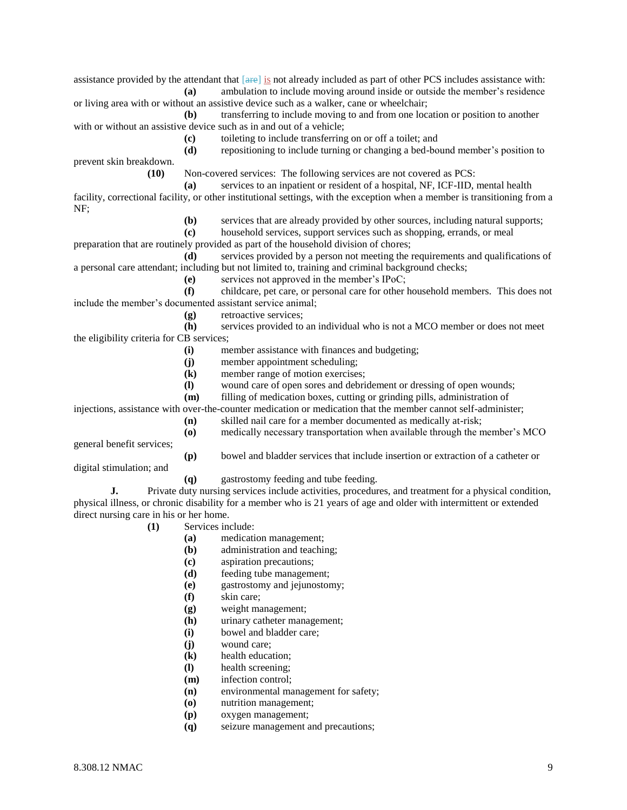assistance provided by the attendant that [are] is not already included as part of other PCS includes assistance with: **(a)** ambulation to include moving around inside or outside the member's residence

or living area with or without an assistive device such as a walker, cane or wheelchair;

**(b)** transferring to include moving to and from one location or position to another with or without an assistive device such as in and out of a vehicle:

**(c)** toileting to include transferring on or off a toilet; and

**(d)** repositioning to include turning or changing a bed-bound member's position to

prevent skin breakdown.

**(10)** Non-covered services: The following services are not covered as PCS:

**(a)** services to an inpatient or resident of a hospital, NF, ICF-IID, mental health facility, correctional facility, or other institutional settings, with the exception when a member is transitioning from a NF;

**(b)** services that are already provided by other sources, including natural supports;

**(c)** household services, support services such as shopping, errands, or meal

preparation that are routinely provided as part of the household division of chores;

**(d)** services provided by a person not meeting the requirements and qualifications of a personal care attendant; including but not limited to, training and criminal background checks;

**(e)** services not approved in the member's IPoC;

**(f)** childcare, pet care, or personal care for other household members. This does not include the member's documented assistant service animal;

**(g)** retroactive services;

**(h)** services provided to an individual who is not a MCO member or does not meet the eligibility criteria for CB services;

**(i)** member assistance with finances and budgeting;

**(j)** member appointment scheduling;

- **(k)** member range of motion exercises;
- **(l)** wound care of open sores and debridement or dressing of open wounds;
- **(m)** filling of medication boxes, cutting or grinding pills, administration of

injections, assistance with over-the-counter medication or medication that the member cannot self-administer;

**(n)** skilled nail care for a member documented as medically at-risk; **(o)** medically necessary transportation when available through the member's MCO

general benefit services;

**(p)** bowel and bladder services that include insertion or extraction of a catheter or

digital stimulation; and

**(q)** gastrostomy feeding and tube feeding.

**J.** Private duty nursing services include activities, procedures, and treatment for a physical condition, physical illness, or chronic disability for a member who is 21 years of age and older with intermittent or extended direct nursing care in his or her home.

- **(1)** Services include:
	- **(a)** medication management;
	- **(b)** administration and teaching;
	- **(c)** aspiration precautions;
	- **(d)** feeding tube management;
	- **(e)** gastrostomy and jejunostomy;
	- **(f)** skin care;
	- **(g)** weight management;
	- **(h)** urinary catheter management;
	- **(i)** bowel and bladder care;
	- **(j)** wound care;
	- **(k)** health education;
	- **(l)** health screening;
	- **(m)** infection control;
	- **(n)** environmental management for safety;
	- **(o)** nutrition management;
	- **(p)** oxygen management;
	- **(q)** seizure management and precautions;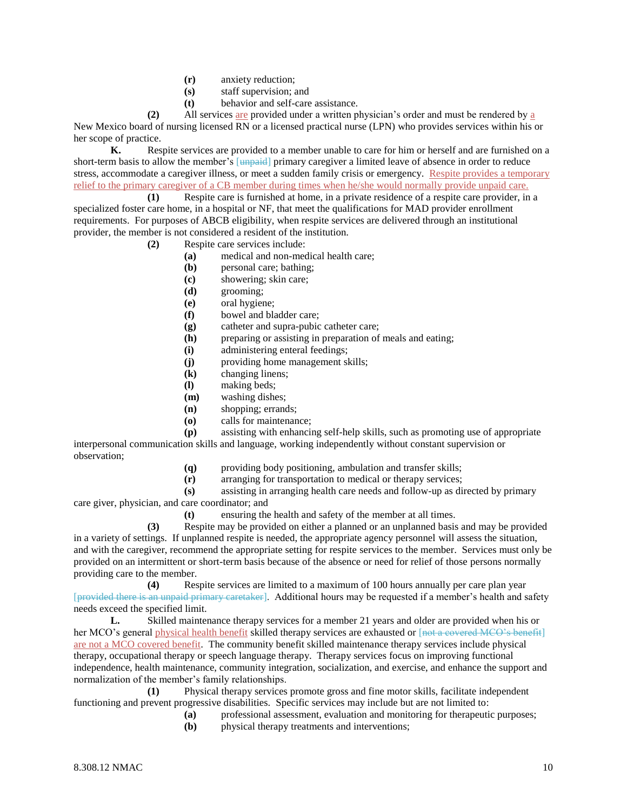- **(r)** anxiety reduction;
- **(s)** staff supervision; and
- **(t)** behavior and self-care assistance.

**(2)** All services are provided under a written physician's order and must be rendered by a New Mexico board of nursing licensed RN or a licensed practical nurse (LPN) who provides services within his or her scope of practice.

**K.** Respite services are provided to a member unable to care for him or herself and are furnished on a short-term basis to allow the member's [unpaid] primary caregiver a limited leave of absence in order to reduce stress, accommodate a caregiver illness, or meet a sudden family crisis or emergency. Respite provides a temporary relief to the primary caregiver of a CB member during times when he/she would normally provide unpaid care.

**(1)** Respite care is furnished at home, in a private residence of a respite care provider, in a specialized foster care home, in a hospital or NF, that meet the qualifications for MAD provider enrollment requirements. For purposes of ABCB eligibility, when respite services are delivered through an institutional provider, the member is not considered a resident of the institution.

- **(2)** Respite care services include:
	- **(a)** medical and non-medical health care;
	- **(b)** personal care; bathing;
	- **(c)** showering; skin care;
	- **(d)** grooming;
	- **(e)** oral hygiene;
	- **(f)** bowel and bladder care;
	- **(g)** catheter and supra-pubic catheter care;
	- **(h)** preparing or assisting in preparation of meals and eating;
	- **(i)** administering enteral feedings;
	- **(j)** providing home management skills;
	- **(k)** changing linens;
	- **(l)** making beds;
	- **(m)** washing dishes;
	- **(n)** shopping; errands;
	- **(o)** calls for maintenance;

**(p)** assisting with enhancing self-help skills, such as promoting use of appropriate interpersonal communication skills and language, working independently without constant supervision or observation;

- **(q)** providing body positioning, ambulation and transfer skills;
- **(r)** arranging for transportation to medical or therapy services;

**(s)** assisting in arranging health care needs and follow-up as directed by primary care giver, physician, and care coordinator; and

**(t)** ensuring the health and safety of the member at all times.

**(3)** Respite may be provided on either a planned or an unplanned basis and may be provided in a variety of settings. If unplanned respite is needed, the appropriate agency personnel will assess the situation, and with the caregiver, recommend the appropriate setting for respite services to the member. Services must only be provided on an intermittent or short-term basis because of the absence or need for relief of those persons normally providing care to the member.

**(4)** Respite services are limited to a maximum of 100 hours annually per care plan year [provided there is an unpaid primary caretaker]. Additional hours may be requested if a member's health and safety needs exceed the specified limit.

**L.** Skilled maintenance therapy services for a member 21 years and older are provided when his or her MCO's general physical health benefit skilled therapy services are exhausted or [not a covered MCO's benefit] are not a MCO covered benefit. The community benefit skilled maintenance therapy services include physical therapy, occupational therapy or speech language therapy. Therapy services focus on improving functional independence, health maintenance, community integration, socialization, and exercise, and enhance the support and normalization of the member's family relationships.

**(1)** Physical therapy services promote gross and fine motor skills, facilitate independent functioning and prevent progressive disabilities. Specific services may include but are not limited to:

- **(a)** professional assessment, evaluation and monitoring for therapeutic purposes;
- **(b)** physical therapy treatments and interventions;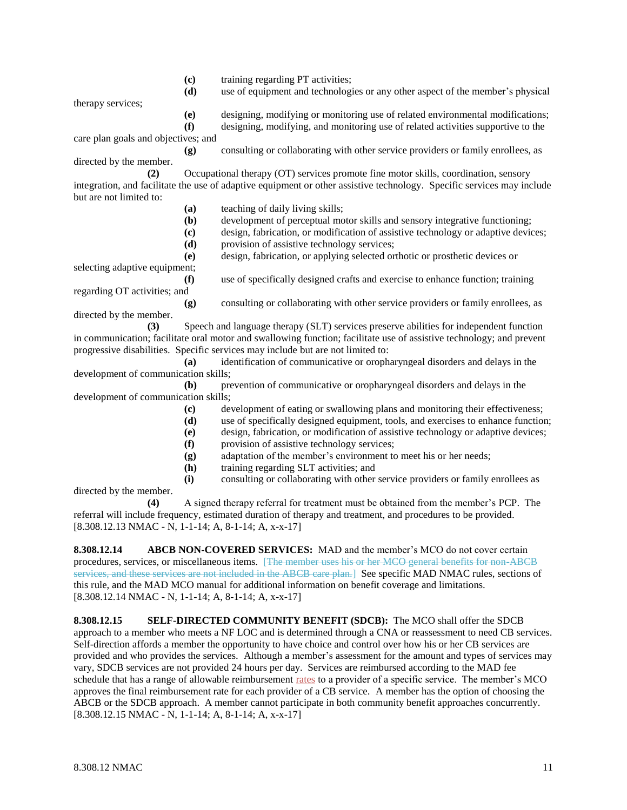- **(c)** training regarding PT activities;
- **(d)** use of equipment and technologies or any other aspect of the member's physical

therapy services;

**(e)** designing, modifying or monitoring use of related environmental modifications; **(f)** designing, modifying, and monitoring use of related activities supportive to the

care plan goals and objectives; and

**(g)** consulting or collaborating with other service providers or family enrollees, as directed by the member.

**(2)** Occupational therapy (OT) services promote fine motor skills, coordination, sensory integration, and facilitate the use of adaptive equipment or other assistive technology. Specific services may include but are not limited to:

- **(a)** teaching of daily living skills;
- **(b)** development of perceptual motor skills and sensory integrative functioning;
- **(c)** design, fabrication, or modification of assistive technology or adaptive devices;
- **(d)** provision of assistive technology services;

**(e)** design, fabrication, or applying selected orthotic or prosthetic devices or

selecting adaptive equipment;

**(f)** use of specifically designed crafts and exercise to enhance function; training

regarding OT activities; and **(g)** consulting or collaborating with other service providers or family enrollees, as directed by the member.

**(3)** Speech and language therapy (SLT) services preserve abilities for independent function in communication; facilitate oral motor and swallowing function; facilitate use of assistive technology; and prevent progressive disabilities. Specific services may include but are not limited to:

**(a)** identification of communicative or oropharyngeal disorders and delays in the development of communication skills;

**(b)** prevention of communicative or oropharyngeal disorders and delays in the development of communication skills;

- **(c)** development of eating or swallowing plans and monitoring their effectiveness;
- **(d)** use of specifically designed equipment, tools, and exercises to enhance function;
- **(e)** design, fabrication, or modification of assistive technology or adaptive devices;
- **(f)** provision of assistive technology services;
- **(g)** adaptation of the member's environment to meet his or her needs;
- **(h)** training regarding SLT activities; and
- **(i)** consulting or collaborating with other service providers or family enrollees as

directed by the member.

**(4)** A signed therapy referral for treatment must be obtained from the member's PCP. The referral will include frequency, estimated duration of therapy and treatment, and procedures to be provided. [8.308.12.13 NMAC - N, 1-1-14; A, 8-1-14; A, x-x-17]

**8.308.12.14 ABCB NON-COVERED SERVICES:** MAD and the member's MCO do not cover certain procedures, services, or miscellaneous items. [The member uses his or her MCO general benefits for non-ABCB services, and these services are not included in the ABCB care plan.] See specific MAD NMAC rules, sections of this rule, and the MAD MCO manual for additional information on benefit coverage and limitations. [8.308.12.14 NMAC - N, 1-1-14; A, 8-1-14; A, x-x-17]

**8.308.12.15 SELF-DIRECTED COMMUNITY BENEFIT (SDCB):** The MCO shall offer the SDCB approach to a member who meets a NF LOC and is determined through a CNA or reassessment to need CB services. Self-direction affords a member the opportunity to have choice and control over how his or her CB services are provided and who provides the services. Although a member's assessment for the amount and types of services may vary, SDCB services are not provided 24 hours per day. Services are reimbursed according to the MAD fee schedule that has a range of allowable reimbursement rates to a provider of a specific service. The member's MCO approves the final reimbursement rate for each provider of a CB service. A member has the option of choosing the ABCB or the SDCB approach. A member cannot participate in both community benefit approaches concurrently.  $[8.308.12.15 NMAC - N, 1-1-14; A, 8-1-14; A, x-x-17]$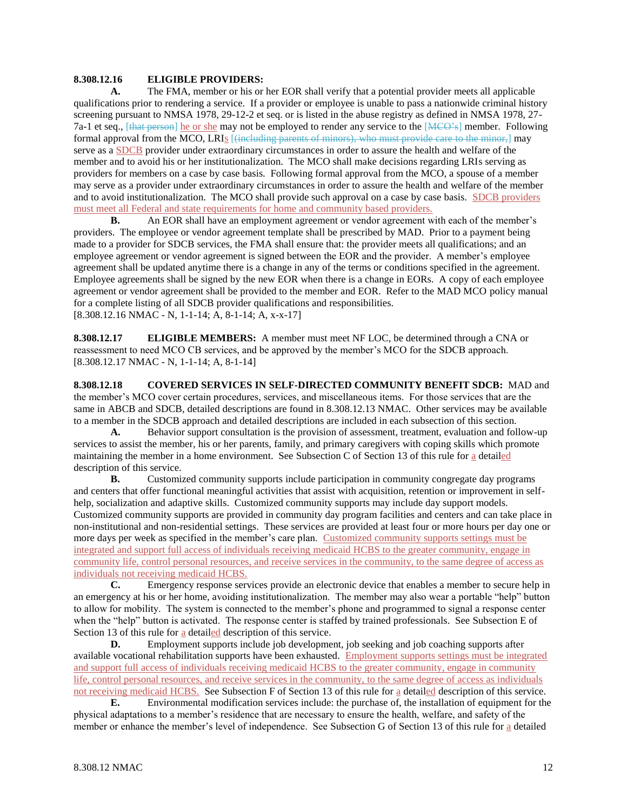#### **8.308.12.16 ELIGIBLE PROVIDERS:**

**A.** The FMA, member or his or her EOR shall verify that a potential provider meets all applicable qualifications prior to rendering a service. If a provider or employee is unable to pass a nationwide criminal history screening pursuant to NMSA 1978, 29-12-2 et seq. or is listed in the abuse registry as defined in NMSA 1978, 27- 7a-1 et seq., [that person] he or she may not be employed to render any service to the [MCO's] member. Following formal approval from the MCO, LRIs [<del>(including parents of minors), who must provide care to the minor,</del>] may serve as a SDCB provider under extraordinary circumstances in order to assure the health and welfare of the member and to avoid his or her institutionalization. The MCO shall make decisions regarding LRIs serving as providers for members on a case by case basis. Following formal approval from the MCO, a spouse of a member may serve as a provider under extraordinary circumstances in order to assure the health and welfare of the member and to avoid institutionalization. The MCO shall provide such approval on a case by case basis. SDCB providers must meet all Federal and state requirements for home and community based providers.

**B.** An EOR shall have an employment agreement or vendor agreement with each of the member's providers. The employee or vendor agreement template shall be prescribed by MAD. Prior to a payment being made to a provider for SDCB services, the FMA shall ensure that: the provider meets all qualifications; and an employee agreement or vendor agreement is signed between the EOR and the provider. A member's employee agreement shall be updated anytime there is a change in any of the terms or conditions specified in the agreement. Employee agreements shall be signed by the new EOR when there is a change in EORs. A copy of each employee agreement or vendor agreement shall be provided to the member and EOR. Refer to the MAD MCO policy manual for a complete listing of all SDCB provider qualifications and responsibilities. [8.308.12.16 NMAC - N, 1-1-14; A, 8-1-14; A, x-x-17]

**8.308.12.17 ELIGIBLE MEMBERS:** A member must meet NF LOC, be determined through a CNA or reassessment to need MCO CB services, and be approved by the member's MCO for the SDCB approach. [8.308.12.17 NMAC - N, 1-1-14; A, 8-1-14]

**8.308.12.18 COVERED SERVICES IN SELF-DIRECTED COMMUNITY BENEFIT SDCB:** MAD and the member's MCO cover certain procedures, services, and miscellaneous items. For those services that are the same in ABCB and SDCB, detailed descriptions are found in 8.308.12.13 NMAC. Other services may be available to a member in the SDCB approach and detailed descriptions are included in each subsection of this section.

**A.** Behavior support consultation is the provision of assessment, treatment, evaluation and follow-up services to assist the member, his or her parents, family, and primary caregivers with coping skills which promote maintaining the member in a home environment. See Subsection C of Section 13 of this rule for a detailed description of this service.

**B.** Customized community supports include participation in community congregate day programs and centers that offer functional meaningful activities that assist with acquisition, retention or improvement in selfhelp, socialization and adaptive skills. Customized community supports may include day support models. Customized community supports are provided in community day program facilities and centers and can take place in non-institutional and non-residential settings. These services are provided at least four or more hours per day one or more days per week as specified in the member's care plan. Customized community supports settings must be integrated and support full access of individuals receiving medicaid HCBS to the greater community, engage in community life, control personal resources, and receive services in the community, to the same degree of access as individuals not receiving medicaid HCBS.

**C.** Emergency response services provide an electronic device that enables a member to secure help in an emergency at his or her home, avoiding institutionalization. The member may also wear a portable "help" button to allow for mobility. The system is connected to the member's phone and programmed to signal a response center when the "help" button is activated. The response center is staffed by trained professionals. See Subsection E of Section 13 of this rule for a detailed description of this service.

**D.** Employment supports include job development, job seeking and job coaching supports after available vocational rehabilitation supports have been exhausted. Employment supports settings must be integrated and support full access of individuals receiving medicaid HCBS to the greater community, engage in community life, control personal resources, and receive services in the community, to the same degree of access as individuals not receiving medicaid HCBS. See Subsection F of Section 13 of this rule for a detailed description of this service.

**E.** Environmental modification services include: the purchase of, the installation of equipment for the physical adaptations to a member's residence that are necessary to ensure the health, welfare, and safety of the member or enhance the member's level of independence. See Subsection G of Section 13 of this rule for a detailed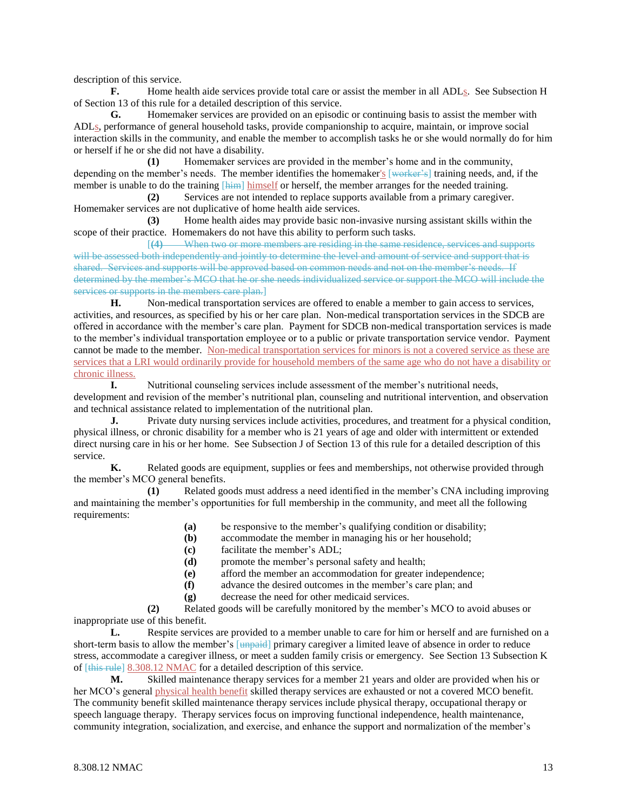description of this service.

**F.** Home health aide services provide total care or assist the member in all ADLs. See Subsection H of Section 13 of this rule for a detailed description of this service.

**G.** Homemaker services are provided on an episodic or continuing basis to assist the member with ADLs, performance of general household tasks, provide companionship to acquire, maintain, or improve social interaction skills in the community, and enable the member to accomplish tasks he or she would normally do for him or herself if he or she did not have a disability.

**(1)** Homemaker services are provided in the member's home and in the community, depending on the member's needs. The member identifies the homemaker's [worker's] training needs, and, if the member is unable to do the training [him] himself or herself, the member arranges for the needed training.

**(2)** Services are not intended to replace supports available from a primary caregiver. Homemaker services are not duplicative of home health aide services.

**(3)** Home health aides may provide basic non-invasive nursing assistant skills within the scope of their practice. Homemakers do not have this ability to perform such tasks.

[**(4)** When two or more members are residing in the same residence, services and supports will be assessed both independently and jointly to determine the level and amount of service and support that is shared. Services and supports will be approved based on common needs and not on the member's needs. If determined by the member's MCO that he or she needs individualized service or support the MCO will include the services or supports in the members care plan.

**H.** Non-medical transportation services are offered to enable a member to gain access to services, activities, and resources, as specified by his or her care plan. Non-medical transportation services in the SDCB are offered in accordance with the member's care plan. Payment for SDCB non-medical transportation services is made to the member's individual transportation employee or to a public or private transportation service vendor. Payment cannot be made to the member. Non-medical transportation services for minors is not a covered service as these are services that a LRI would ordinarily provide for household members of the same age who do not have a disability or chronic illness.

**I.** Nutritional counseling services include assessment of the member's nutritional needs, development and revision of the member's nutritional plan, counseling and nutritional intervention, and observation and technical assistance related to implementation of the nutritional plan.

**J.** Private duty nursing services include activities, procedures, and treatment for a physical condition, physical illness, or chronic disability for a member who is 21 years of age and older with intermittent or extended direct nursing care in his or her home. See Subsection J of Section 13 of this rule for a detailed description of this service.

**K.** Related goods are equipment, supplies or fees and memberships, not otherwise provided through the member's MCO general benefits.

**(1)** Related goods must address a need identified in the member's CNA including improving and maintaining the member's opportunities for full membership in the community, and meet all the following requirements:

- **(a)** be responsive to the member's qualifying condition or disability;
- **(b)** accommodate the member in managing his or her household;
- **(c)** facilitate the member's ADL;
- **(d)** promote the member's personal safety and health;
- **(e)** afford the member an accommodation for greater independence;
- **(f)** advance the desired outcomes in the member's care plan; and
- **(g)** decrease the need for other medicaid services.

**(2)** Related goods will be carefully monitored by the member's MCO to avoid abuses or inappropriate use of this benefit.

**L.** Respite services are provided to a member unable to care for him or herself and are furnished on a short-term basis to allow the member's [unpaid] primary caregiver a limited leave of absence in order to reduce stress, accommodate a caregiver illness, or meet a sudden family crisis or emergency. See Section 13 Subsection K of [this rule] 8.308.12 NMAC for a detailed description of this service.

**M.** Skilled maintenance therapy services for a member 21 years and older are provided when his or her MCO's general physical health benefit skilled therapy services are exhausted or not a covered MCO benefit. The community benefit skilled maintenance therapy services include physical therapy, occupational therapy or speech language therapy. Therapy services focus on improving functional independence, health maintenance, community integration, socialization, and exercise, and enhance the support and normalization of the member's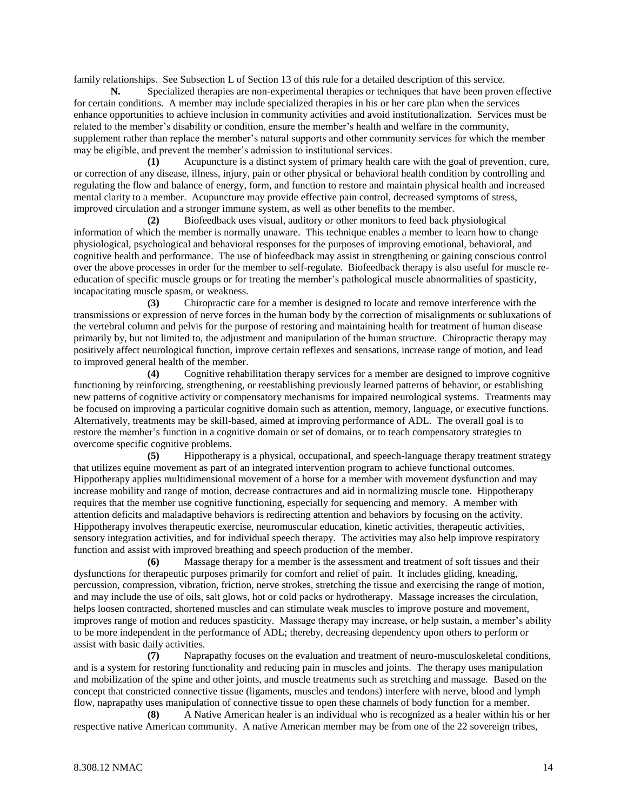family relationships. See Subsection L of Section 13 of this rule for a detailed description of this service.

**N.** Specialized therapies are non-experimental therapies or techniques that have been proven effective for certain conditions. A member may include specialized therapies in his or her care plan when the services enhance opportunities to achieve inclusion in community activities and avoid institutionalization. Services must be related to the member's disability or condition, ensure the member's health and welfare in the community, supplement rather than replace the member's natural supports and other community services for which the member may be eligible, and prevent the member's admission to institutional services.

**(1)** Acupuncture is a distinct system of primary health care with the goal of prevention, cure, or correction of any disease, illness, injury, pain or other physical or behavioral health condition by controlling and regulating the flow and balance of energy, form, and function to restore and maintain physical health and increased mental clarity to a member. Acupuncture may provide effective pain control, decreased symptoms of stress, improved circulation and a stronger immune system, as well as other benefits to the member.

**(2)** Biofeedback uses visual, auditory or other monitors to feed back physiological information of which the member is normally unaware. This technique enables a member to learn how to change physiological, psychological and behavioral responses for the purposes of improving emotional, behavioral, and cognitive health and performance. The use of biofeedback may assist in strengthening or gaining conscious control over the above processes in order for the member to self-regulate. Biofeedback therapy is also useful for muscle reeducation of specific muscle groups or for treating the member's pathological muscle abnormalities of spasticity, incapacitating muscle spasm, or weakness.

**(3)** Chiropractic care for a member is designed to locate and remove interference with the transmissions or expression of nerve forces in the human body by the correction of misalignments or subluxations of the vertebral column and pelvis for the purpose of restoring and maintaining health for treatment of human disease primarily by, but not limited to, the adjustment and manipulation of the human structure. Chiropractic therapy may positively affect neurological function, improve certain reflexes and sensations, increase range of motion, and lead to improved general health of the member.

**(4)** Cognitive rehabilitation therapy services for a member are designed to improve cognitive functioning by reinforcing, strengthening, or reestablishing previously learned patterns of behavior, or establishing new patterns of cognitive activity or compensatory mechanisms for impaired neurological systems. Treatments may be focused on improving a particular cognitive domain such as attention, memory, language, or executive functions. Alternatively, treatments may be skill-based, aimed at improving performance of ADL. The overall goal is to restore the member's function in a cognitive domain or set of domains, or to teach compensatory strategies to overcome specific cognitive problems.

**(5)** Hippotherapy is a physical, occupational, and speech-language therapy treatment strategy that utilizes equine movement as part of an integrated intervention program to achieve functional outcomes. Hippotherapy applies multidimensional movement of a horse for a member with movement dysfunction and may increase mobility and range of motion, decrease contractures and aid in normalizing muscle tone. Hippotherapy requires that the member use cognitive functioning, especially for sequencing and memory. A member with attention deficits and maladaptive behaviors is redirecting attention and behaviors by focusing on the activity. Hippotherapy involves therapeutic exercise, neuromuscular education, kinetic activities, therapeutic activities, sensory integration activities, and for individual speech therapy. The activities may also help improve respiratory function and assist with improved breathing and speech production of the member.

**(6)** Massage therapy for a member is the assessment and treatment of soft tissues and their dysfunctions for therapeutic purposes primarily for comfort and relief of pain. It includes gliding, kneading, percussion, compression, vibration, friction, nerve strokes, stretching the tissue and exercising the range of motion, and may include the use of oils, salt glows, hot or cold packs or hydrotherapy. Massage increases the circulation, helps loosen contracted, shortened muscles and can stimulate weak muscles to improve posture and movement, improves range of motion and reduces spasticity. Massage therapy may increase, or help sustain, a member's ability to be more independent in the performance of ADL; thereby, decreasing dependency upon others to perform or assist with basic daily activities.

**(7)** Naprapathy focuses on the evaluation and treatment of neuro-musculoskeletal conditions, and is a system for restoring functionality and reducing pain in muscles and joints. The therapy uses manipulation and mobilization of the spine and other joints, and muscle treatments such as stretching and massage. Based on the concept that constricted connective tissue (ligaments, muscles and tendons) interfere with nerve, blood and lymph flow, naprapathy uses manipulation of connective tissue to open these channels of body function for a member.

**(8)** A Native American healer is an individual who is recognized as a healer within his or her respective native American community. A native American member may be from one of the 22 sovereign tribes,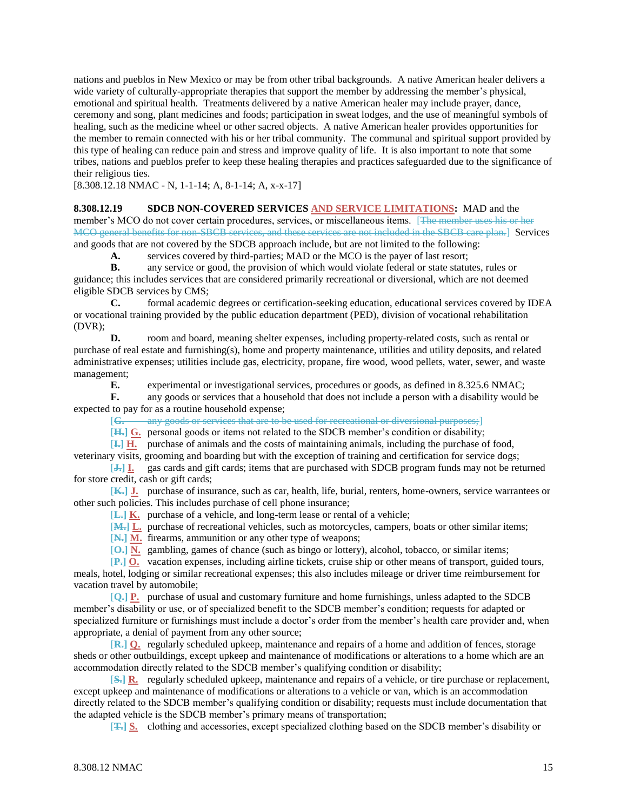nations and pueblos in New Mexico or may be from other tribal backgrounds. A native American healer delivers a wide variety of culturally-appropriate therapies that support the member by addressing the member's physical, emotional and spiritual health. Treatments delivered by a native American healer may include prayer, dance, ceremony and song, plant medicines and foods; participation in sweat lodges, and the use of meaningful symbols of healing, such as the medicine wheel or other sacred objects. A native American healer provides opportunities for the member to remain connected with his or her tribal community. The communal and spiritual support provided by this type of healing can reduce pain and stress and improve quality of life. It is also important to note that some tribes, nations and pueblos prefer to keep these healing therapies and practices safeguarded due to the significance of their religious ties.

[8.308.12.18 NMAC - N, 1-1-14; A, 8-1-14; A, x-x-17]

**8.308.12.19 SDCB NON-COVERED SERVICES AND SERVICE LIMITATIONS:** MAD and the member's MCO do not cover certain procedures, services, or miscellaneous items. [The member uses his or her MCO general benefits for non-SBCB services, and these services are not included in the SBCB care plan.] Services and goods that are not covered by the SDCB approach include, but are not limited to the following:

**A.** services covered by third-parties; MAD or the MCO is the payer of last resort;

**B.** any service or good, the provision of which would violate federal or state statutes, rules or

guidance; this includes services that are considered primarily recreational or diversional, which are not deemed eligible SDCB services by CMS;

**C.** formal academic degrees or certification-seeking education, educational services covered by IDEA or vocational training provided by the public education department (PED), division of vocational rehabilitation (DVR);

**D.** room and board, meaning shelter expenses, including property-related costs, such as rental or purchase of real estate and furnishing(s), home and property maintenance, utilities and utility deposits, and related administrative expenses; utilities include gas, electricity, propane, fire wood, wood pellets, water, sewer, and waste management;

**E.** experimental or investigational services, procedures or goods, as defined in 8.325.6 NMAC;

**F.** any goods or services that a household that does not include a person with a disability would be expected to pay for as a routine household expense;

[**G.** any goods or services that are to be used for recreational or diversional purposes;]

[**H.] G.** personal goods or items not related to the SDCB member's condition or disability;

[**I.] H.** purchase of animals and the costs of maintaining animals, including the purchase of food,

veterinary visits, grooming and boarding but with the exception of training and certification for service dogs;

[**J.] I.** gas cards and gift cards; items that are purchased with SDCB program funds may not be returned for store credit, cash or gift cards;

[**K.] J.** purchase of insurance, such as car, health, life, burial, renters, home-owners, service warrantees or other such policies. This includes purchase of cell phone insurance;

[**L.] K.** purchase of a vehicle, and long-term lease or rental of a vehicle;

[**M.] L.** purchase of recreational vehicles, such as motorcycles, campers, boats or other similar items;

[**N.] M.** firearms, ammunition or any other type of weapons;

[**O.] N.** gambling, games of chance (such as bingo or lottery), alcohol, tobacco, or similar items;

[**P.] O.** vacation expenses, including airline tickets, cruise ship or other means of transport, guided tours, meals, hotel, lodging or similar recreational expenses; this also includes mileage or driver time reimbursement for vacation travel by automobile;

[**Q.] P.** purchase of usual and customary furniture and home furnishings, unless adapted to the SDCB member's disability or use, or of specialized benefit to the SDCB member's condition; requests for adapted or specialized furniture or furnishings must include a doctor's order from the member's health care provider and, when appropriate, a denial of payment from any other source;

[**R.] Q.** regularly scheduled upkeep, maintenance and repairs of a home and addition of fences, storage sheds or other outbuildings, except upkeep and maintenance of modifications or alterations to a home which are an accommodation directly related to the SDCB member's qualifying condition or disability;

[**S.] R.** regularly scheduled upkeep, maintenance and repairs of a vehicle, or tire purchase or replacement, except upkeep and maintenance of modifications or alterations to a vehicle or van, which is an accommodation directly related to the SDCB member's qualifying condition or disability; requests must include documentation that the adapted vehicle is the SDCB member's primary means of transportation;

[**T.] S.** clothing and accessories, except specialized clothing based on the SDCB member's disability or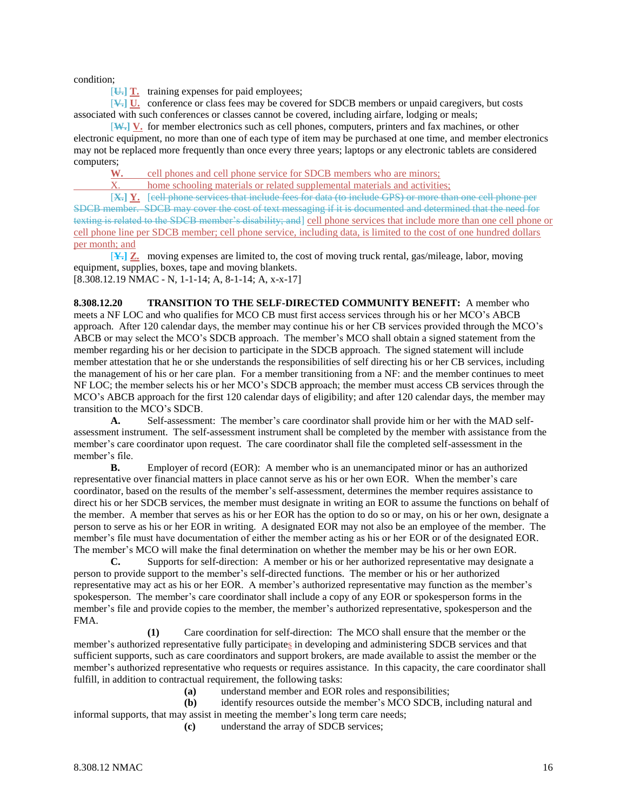condition;

[**U.] T.** training expenses for paid employees;

[**V.] U.** conference or class fees may be covered for SDCB members or unpaid caregivers, but costs associated with such conferences or classes cannot be covered, including airfare, lodging or meals;

[**W.] V.** for member electronics such as cell phones, computers, printers and fax machines, or other electronic equipment, no more than one of each type of item may be purchased at one time, and member electronics may not be replaced more frequently than once every three years; laptops or any electronic tablets are considered computers;

**W.** cell phones and cell phone service for SDCB members who are minors;

X. home schooling materials or related supplemental materials and activities;

[**X.] Y.** [cell phone services that include fees for data (to include GPS) or more than one cell phone per SDCB member. SDCB may cover the cost of text messaging if it is documented and determined that the need for texting is related to the SDCB member's disability; and cell phone services that include more than one cell phone or cell phone line per SDCB member; cell phone service, including data, is limited to the cost of one hundred dollars per month; and

[**Y.] Z.** moving expenses are limited to, the cost of moving truck rental, gas/mileage, labor, moving equipment, supplies, boxes, tape and moving blankets. [8.308.12.19 NMAC - N, 1-1-14; A, 8-1-14; A, x-x-17]

**8.308.12.20 TRANSITION TO THE SELF-DIRECTED COMMUNITY BENEFIT:** A member who meets a NF LOC and who qualifies for MCO CB must first access services through his or her MCO's ABCB approach. After 120 calendar days, the member may continue his or her CB services provided through the MCO's ABCB or may select the MCO's SDCB approach. The member's MCO shall obtain a signed statement from the member regarding his or her decision to participate in the SDCB approach. The signed statement will include member attestation that he or she understands the responsibilities of self directing his or her CB services, including the management of his or her care plan. For a member transitioning from a NF: and the member continues to meet NF LOC; the member selects his or her MCO's SDCB approach; the member must access CB services through the MCO's ABCB approach for the first 120 calendar days of eligibility; and after 120 calendar days, the member may transition to the MCO's SDCB.

**A.** Self-assessment: The member's care coordinator shall provide him or her with the MAD selfassessment instrument. The self-assessment instrument shall be completed by the member with assistance from the member's care coordinator upon request. The care coordinator shall file the completed self-assessment in the member's file.

**B.** Employer of record (EOR): A member who is an unemancipated minor or has an authorized representative over financial matters in place cannot serve as his or her own EOR. When the member's care coordinator, based on the results of the member's self-assessment, determines the member requires assistance to direct his or her SDCB services, the member must designate in writing an EOR to assume the functions on behalf of the member. A member that serves as his or her EOR has the option to do so or may, on his or her own, designate a person to serve as his or her EOR in writing. A designated EOR may not also be an employee of the member. The member's file must have documentation of either the member acting as his or her EOR or of the designated EOR. The member's MCO will make the final determination on whether the member may be his or her own EOR.

**C.** Supports for self-direction: A member or his or her authorized representative may designate a person to provide support to the member's self-directed functions. The member or his or her authorized representative may act as his or her EOR. A member's authorized representative may function as the member's spokesperson. The member's care coordinator shall include a copy of any EOR or spokesperson forms in the member's file and provide copies to the member, the member's authorized representative, spokesperson and the FMA.

**(1)** Care coordination for self-direction: The MCO shall ensure that the member or the member's authorized representative fully participates in developing and administering SDCB services and that sufficient supports, such as care coordinators and support brokers, are made available to assist the member or the member's authorized representative who requests or requires assistance. In this capacity, the care coordinator shall fulfill, in addition to contractual requirement, the following tasks:

**(a)** understand member and EOR roles and responsibilities;

**(b)** identify resources outside the member's MCO SDCB, including natural and informal supports, that may assist in meeting the member's long term care needs;

**(c)** understand the array of SDCB services;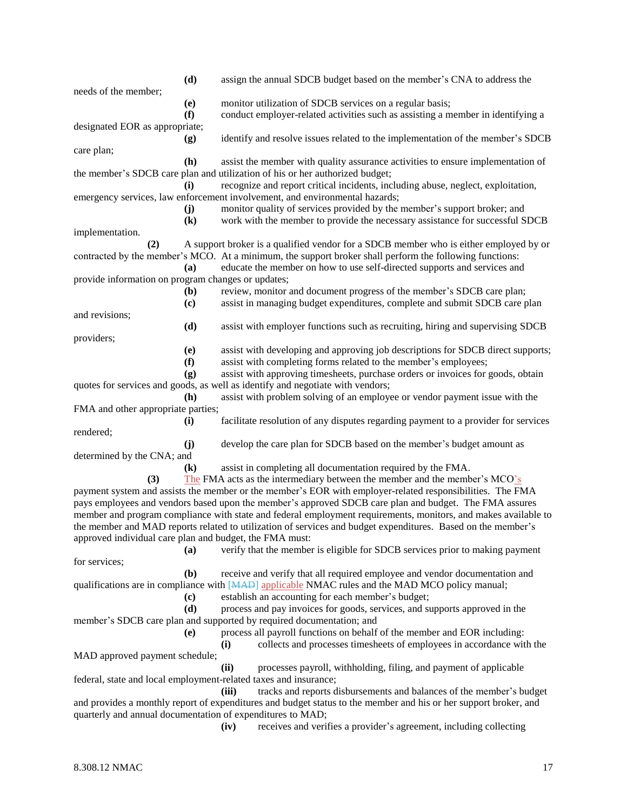|                                                         | (d)                        | assign the annual SDCB budget based on the member's CNA to address the                                           |
|---------------------------------------------------------|----------------------------|------------------------------------------------------------------------------------------------------------------|
| needs of the member;                                    |                            |                                                                                                                  |
|                                                         | (e)                        | monitor utilization of SDCB services on a regular basis;                                                         |
|                                                         | (f)                        | conduct employer-related activities such as assisting a member in identifying a                                  |
| designated EOR as appropriate;                          |                            |                                                                                                                  |
|                                                         | (g)                        | identify and resolve issues related to the implementation of the member's SDCB                                   |
| care plan;                                              |                            |                                                                                                                  |
|                                                         | (h)                        | assist the member with quality assurance activities to ensure implementation of                                  |
|                                                         |                            | the member's SDCB care plan and utilization of his or her authorized budget;                                     |
|                                                         | (i)                        | recognize and report critical incidents, including abuse, neglect, exploitation,                                 |
|                                                         |                            | emergency services, law enforcement involvement, and environmental hazards;                                      |
|                                                         | (j)                        | monitor quality of services provided by the member's support broker; and                                         |
|                                                         | $\left( \mathbf{k}\right)$ | work with the member to provide the necessary assistance for successful SDCB                                     |
| implementation.                                         |                            |                                                                                                                  |
| (2)                                                     |                            | A support broker is a qualified vendor for a SDCB member who is either employed by or                            |
|                                                         |                            | contracted by the member's MCO. At a minimum, the support broker shall perform the following functions:          |
|                                                         | (a)                        | educate the member on how to use self-directed supports and services and                                         |
| provide information on program changes or updates;      |                            |                                                                                                                  |
|                                                         | (b)                        | review, monitor and document progress of the member's SDCB care plan;                                            |
|                                                         | (c)                        | assist in managing budget expenditures, complete and submit SDCB care plan                                       |
| and revisions;                                          |                            |                                                                                                                  |
|                                                         | (d)                        | assist with employer functions such as recruiting, hiring and supervising SDCB                                   |
| providers;                                              |                            |                                                                                                                  |
|                                                         | (e)                        | assist with developing and approving job descriptions for SDCB direct supports;                                  |
|                                                         | (f)                        | assist with completing forms related to the member's employees;                                                  |
|                                                         | (g)                        | assist with approving timesheets, purchase orders or invoices for goods, obtain                                  |
|                                                         |                            | quotes for services and goods, as well as identify and negotiate with vendors;                                   |
|                                                         | (h)                        | assist with problem solving of an employee or vendor payment issue with the                                      |
| FMA and other appropriate parties;                      |                            |                                                                                                                  |
|                                                         | $\mathbf{u}$               | facilitate resolution of any disputes regarding payment to a provider for services                               |
| rendered;                                               |                            |                                                                                                                  |
|                                                         | (j)                        | develop the care plan for SDCB based on the member's budget amount as                                            |
| determined by the CNA; and                              |                            |                                                                                                                  |
|                                                         | $\left( \mathbf{k}\right)$ | assist in completing all documentation required by the FMA.                                                      |
| (3)                                                     |                            | The FMA acts as the intermediary between the member and the member's MCO's                                       |
|                                                         |                            | payment system and assists the member or the member's EOR with employer-related responsibilities. The FMA        |
|                                                         |                            | pays employees and vendors based upon the member's approved SDCB care plan and budget. The FMA assures           |
|                                                         |                            | member and program compliance with state and federal employment requirements, monitors, and makes available to   |
|                                                         |                            | the member and MAD reports related to utilization of services and budget expenditures. Based on the member's     |
| approved individual care plan and budget, the FMA must: |                            |                                                                                                                  |
|                                                         | <b>(a)</b>                 | verify that the member is eligible for SDCB services prior to making payment                                     |
| for services;                                           |                            |                                                                                                                  |
|                                                         | (b)                        | receive and verify that all required employee and vendor documentation and                                       |
|                                                         |                            | qualifications are in compliance with [MAD] applicable NMAC rules and the MAD MCO policy manual;                 |
|                                                         | (c)                        | establish an accounting for each member's budget;                                                                |
|                                                         | (d)                        | process and pay invoices for goods, services, and supports approved in the                                       |
|                                                         |                            | member's SDCB care plan and supported by required documentation; and                                             |
|                                                         | (e)                        | process all payroll functions on behalf of the member and EOR including:                                         |
|                                                         |                            |                                                                                                                  |
|                                                         |                            | collects and processes timesheets of employees in accordance with the<br>(i)                                     |
| MAD approved payment schedule;                          |                            |                                                                                                                  |
|                                                         |                            | (ii)<br>processes payroll, withholding, filing, and payment of applicable                                        |
|                                                         |                            | federal, state and local employment-related taxes and insurance;                                                 |
|                                                         |                            | (iii)<br>tracks and reports disbursements and balances of the member's budget                                    |
|                                                         |                            | and provides a monthly report of expenditures and budget status to the member and his or her support broker, and |
|                                                         |                            | quarterly and annual documentation of expenditures to MAD;                                                       |
|                                                         |                            | receives and verifies a provider's agreement, including collecting<br>(iv)                                       |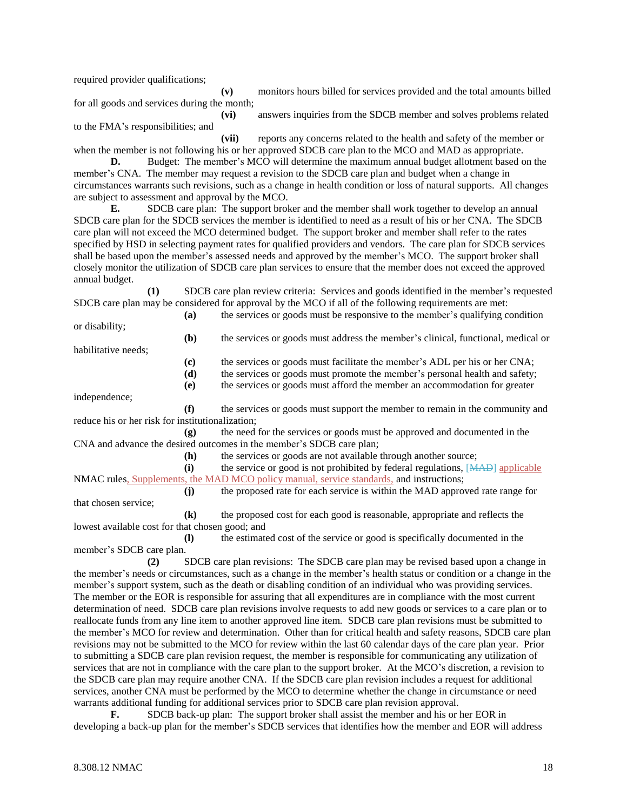required provider qualifications;

**(v)** monitors hours billed for services provided and the total amounts billed for all goods and services during the month;

**(vi)** answers inquiries from the SDCB member and solves problems related to the FMA's responsibilities; and

**(vii)** reports any concerns related to the health and safety of the member or when the member is not following his or her approved SDCB care plan to the MCO and MAD as appropriate.

**D.** Budget: The member's MCO will determine the maximum annual budget allotment based on the member's CNA. The member may request a revision to the SDCB care plan and budget when a change in circumstances warrants such revisions, such as a change in health condition or loss of natural supports. All changes are subject to assessment and approval by the MCO.

**E.** SDCB care plan: The support broker and the member shall work together to develop an annual SDCB care plan for the SDCB services the member is identified to need as a result of his or her CNA. The SDCB care plan will not exceed the MCO determined budget. The support broker and member shall refer to the rates specified by HSD in selecting payment rates for qualified providers and vendors. The care plan for SDCB services shall be based upon the member's assessed needs and approved by the member's MCO. The support broker shall closely monitor the utilization of SDCB care plan services to ensure that the member does not exceed the approved annual budget.

**(1)** SDCB care plan review criteria: Services and goods identified in the member's requested SDCB care plan may be considered for approval by the MCO if all of the following requirements are met:

**(a)** the services or goods must be responsive to the member's qualifying condition or disability;

habilitative needs;

**(c)** the services or goods must facilitate the member's ADL per his or her CNA;

**(b)** the services or goods must address the member's clinical, functional, medical or

**(d)** the services or goods must promote the member's personal health and safety;

**(e)** the services or goods must afford the member an accommodation for greater

independence;

**(f)** the services or goods must support the member to remain in the community and reduce his or her risk for institutionalization;

**(g)** the need for the services or goods must be approved and documented in the CNA and advance the desired outcomes in the member's SDCB care plan;

**(h)** the services or goods are not available through another source;

**(i)** the service or good is not prohibited by federal regulations, [MAD] applicable NMAC rules, Supplements, the MAD MCO policy manual, service standards, and instructions;

**(j)** the proposed rate for each service is within the MAD approved rate range for that chosen service;

**(k)** the proposed cost for each good is reasonable, appropriate and reflects the lowest available cost for that chosen good; and

**(l)** the estimated cost of the service or good is specifically documented in the member's SDCB care plan.

**(2)** SDCB care plan revisions: The SDCB care plan may be revised based upon a change in the member's needs or circumstances, such as a change in the member's health status or condition or a change in the member's support system, such as the death or disabling condition of an individual who was providing services. The member or the EOR is responsible for assuring that all expenditures are in compliance with the most current determination of need. SDCB care plan revisions involve requests to add new goods or services to a care plan or to reallocate funds from any line item to another approved line item. SDCB care plan revisions must be submitted to the member's MCO for review and determination. Other than for critical health and safety reasons, SDCB care plan revisions may not be submitted to the MCO for review within the last 60 calendar days of the care plan year. Prior to submitting a SDCB care plan revision request, the member is responsible for communicating any utilization of services that are not in compliance with the care plan to the support broker. At the MCO's discretion, a revision to the SDCB care plan may require another CNA. If the SDCB care plan revision includes a request for additional services, another CNA must be performed by the MCO to determine whether the change in circumstance or need warrants additional funding for additional services prior to SDCB care plan revision approval.

**F.** SDCB back-up plan: The support broker shall assist the member and his or her EOR in developing a back-up plan for the member's SDCB services that identifies how the member and EOR will address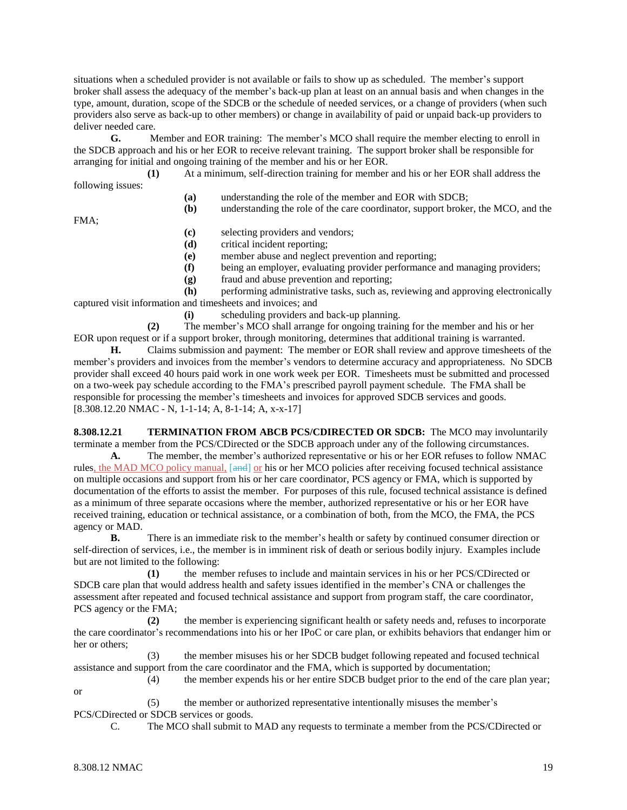situations when a scheduled provider is not available or fails to show up as scheduled. The member's support broker shall assess the adequacy of the member's back-up plan at least on an annual basis and when changes in the type, amount, duration, scope of the SDCB or the schedule of needed services, or a change of providers (when such providers also serve as back-up to other members) or change in availability of paid or unpaid back-up providers to deliver needed care.

**G.** Member and EOR training: The member's MCO shall require the member electing to enroll in the SDCB approach and his or her EOR to receive relevant training. The support broker shall be responsible for arranging for initial and ongoing training of the member and his or her EOR.

**(1)** At a minimum, self-direction training for member and his or her EOR shall address the following issues:

- **(a)** understanding the role of the member and EOR with SDCB;
- **(b)** understanding the role of the care coordinator, support broker, the MCO, and the

FMA;

- **(c)** selecting providers and vendors;
- **(d)** critical incident reporting;
- **(e)** member abuse and neglect prevention and reporting;
- **(f)** being an employer, evaluating provider performance and managing providers;
- **(g)** fraud and abuse prevention and reporting;

**(h)** performing administrative tasks, such as, reviewing and approving electronically captured visit information and timesheets and invoices; and

**(i)** scheduling providers and back-up planning.

**(2)** The member's MCO shall arrange for ongoing training for the member and his or her EOR upon request or if a support broker, through monitoring, determines that additional training is warranted.

**H.** Claims submission and payment: The member or EOR shall review and approve timesheets of the member's providers and invoices from the member's vendors to determine accuracy and appropriateness. No SDCB provider shall exceed 40 hours paid work in one work week per EOR. Timesheets must be submitted and processed on a two-week pay schedule according to the FMA's prescribed payroll payment schedule. The FMA shall be responsible for processing the member's timesheets and invoices for approved SDCB services and goods. [8.308.12.20 NMAC - N, 1-1-14; A, 8-1-14; A, x-x-17]

**8.308.12.21 TERMINATION FROM ABCB PCS/CDIRECTED OR SDCB:** The MCO may involuntarily terminate a member from the PCS/CDirected or the SDCB approach under any of the following circumstances.

**A.** The member, the member's authorized representative or his or her EOR refuses to follow NMAC rules, the MAD MCO policy manual, [and] or his or her MCO policies after receiving focused technical assistance on multiple occasions and support from his or her care coordinator, PCS agency or FMA, which is supported by documentation of the efforts to assist the member. For purposes of this rule, focused technical assistance is defined as a minimum of three separate occasions where the member, authorized representative or his or her EOR have received training, education or technical assistance, or a combination of both, from the MCO, the FMA, the PCS agency or MAD.

**B.** There is an immediate risk to the member's health or safety by continued consumer direction or self-direction of services, i.e., the member is in imminent risk of death or serious bodily injury. Examples include but are not limited to the following:

**(1)** the member refuses to include and maintain services in his or her PCS/CDirected or SDCB care plan that would address health and safety issues identified in the member's CNA or challenges the assessment after repeated and focused technical assistance and support from program staff, the care coordinator, PCS agency or the FMA;

**(2)** the member is experiencing significant health or safety needs and, refuses to incorporate the care coordinator's recommendations into his or her IPoC or care plan, or exhibits behaviors that endanger him or her or others;

(3) the member misuses his or her SDCB budget following repeated and focused technical assistance and support from the care coordinator and the FMA, which is supported by documentation;

(4) the member expends his or her entire SDCB budget prior to the end of the care plan year;

or

- (5) the member or authorized representative intentionally misuses the member's PCS/CDirected or SDCB services or goods.
	- C. The MCO shall submit to MAD any requests to terminate a member from the PCS/CDirected or